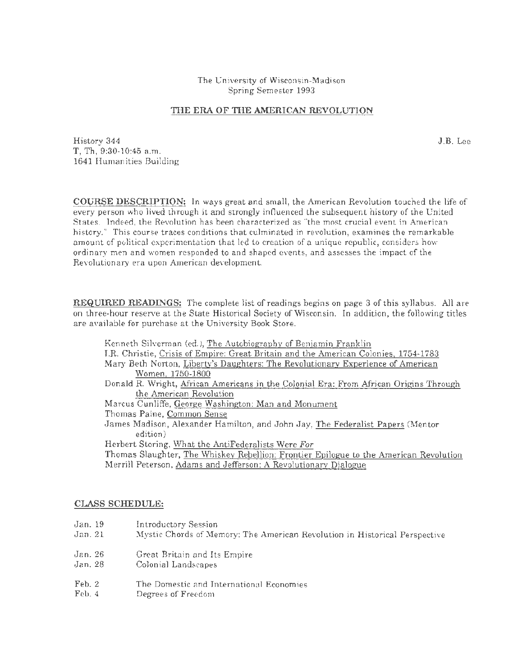The University of Wisconsin-Madison Spring Semester 1993

### **THE ERA OF THE AMERICAN REVOLUTION**

History 344 **J.B.** Lee T, Th, 9:30-10:45 a.m. 1641 Humanities Building

**COURSE DESCRIPTION:** In ways great and small, the American Revolution touched the life of every person who lived through it and strongly influenced the subsequent history of the United States. Indeed, the Revolution has been characterized as "the most crucial event in American history." This course traces conditions that culminated in revolution, examines the remarkable amount of political experimentation that led to creation of a unique republic, considers how ordinary men and women responded to and shaped events, and assesses the impact of the Revolutionary era upon American development.

**REQUIRED READINGS:** The complete list of readings begins on page 3 of this syllabus. All are on three-hour reserve at the State Historical Society of Wisconsin. In addition, the following titles are available for purchase at the University Book Store.

| Kenneth Silverman (ed.), The Autobiography of Benjamin Franklin                       |
|---------------------------------------------------------------------------------------|
| I.R. Christie, Crisis of Empire: Great Britain and the American Colonies, 1754-1783   |
| Mary Beth Norton, Liberty's Daughters: The Revolutionary Experience of American       |
| Women. 1750-1800                                                                      |
| Donald R. Wright, African Americans in the Colonial Era: From African Origins Through |
| the American Revolution                                                               |
| Marcus Cunliffe, George Washington: Man and Monument                                  |
| Thomas Paine, Common Sense                                                            |
| James Madison, Alexander Hamilton, and John Jay, The Federalist Papers (Mentor        |
| edition)                                                                              |
| Herbert Storing, What the AntiFederalists Were For                                    |
| Thomas Slaughter, The Whiskey Rebellion: Frontier Epilogue to the American Revolution |
| Merrill Peterson, Adams and Jefferson: A Revolutionary Dialogue                       |
|                                                                                       |
|                                                                                       |

### **CLASS SCHEDULE:**

- Jan. 19 Introductory Session
- Jan. 21 Mystic Chords of Memory: The American Revolution in Historical Perspective
- Jan. 26 Great Britain and Its Empire
- Jan. 28 Colonial Landscapes
- Feb. 2 The Domestic and International Economies
- Feb. 4 Degrees of Freedom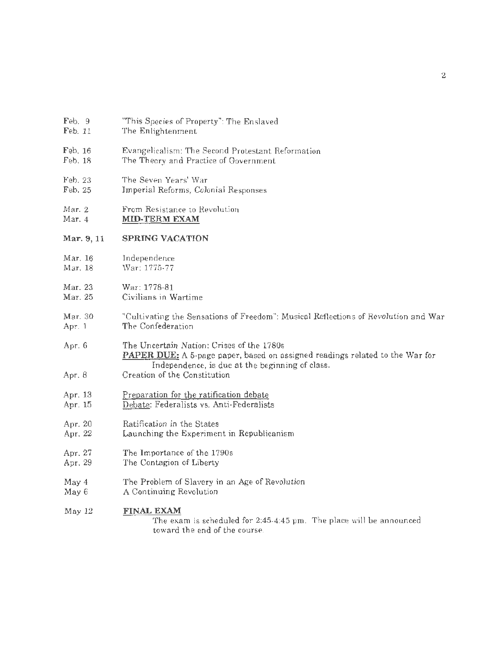| Feb. 9         |  | "This Species of Property": The Enslaved |  |  |
|----------------|--|------------------------------------------|--|--|
| $\blacksquare$ |  |                                          |  |  |

- Feb. 11 The Enlightenment
- Feb. 16 Evangelicalism: The Second Protestant Reformation
- Feb. 18 The Theory and Practice of Government
- Feb. 23 The Seven Years' War
- Feb. 25 Imperial Reforms, Colonial Responses
- Mar. 2 From Resistance to Revolution
- Mar. 4 MID-TERM EXAM

#### Mar. 9,11 SPRING VACATION

- Mar. 16 Independence
- Mar. 18 War: 1775-77
- Mar. 23 War: 1778-81
- Mar. 25 Civilians in Wartime
- Mar. 30 Apr. 1 "Cultivating the Sensations of Freedom": Musical Reflections of Revolution and War The Confederation

Apr. 6 The Uncertain Nation: Crises of the 1780s PAPER DUE: A 5-page paper, based on assigned readings related to the War for Independence, is due at the beginning of class.

- Apr. 8 Creation of the Constitution
- Apr. 13 Preparation for the ratification debate
- Apr. 15 Debate: Federalists vs. Anti-Federalists
- Apr. 20 Ratification in the States
- Apr. 22 Launching the Experiment in Republicanism
- Apr. 27 The Importance of the 1790s
- Apr. 29 The Contagion of Liberty
- May 4 The Problem of Slavery in an Age of Revolution
- May 6 A Continuing Revolution

#### May 12 FINAL EXAM

The exam is scheduled for 2:45-4:45 pm. The place will be announced toward the end of the course.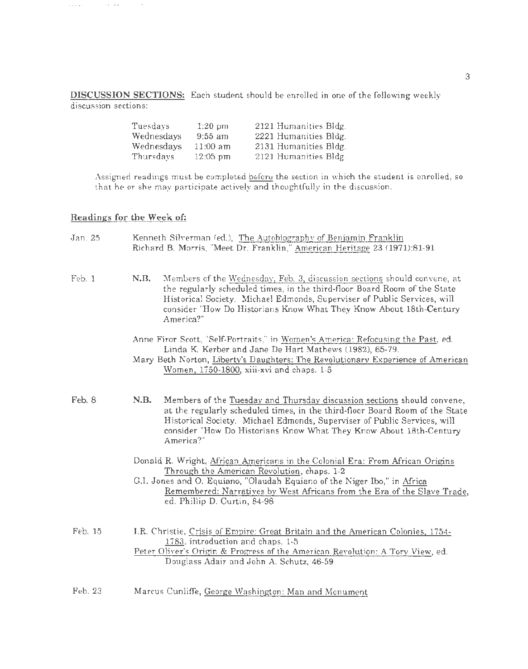DISCUSSION SECTIONS: Each student should be enrolled in one of the following weekly discussion sections:

| Tuesdays   | $1:20$ pm  | 2121 Humanities Bldg. |
|------------|------------|-----------------------|
| Wednesdays | $9:55$ am  | 2221 Humanities Bldg. |
| Wednesdays | $11:00$ am | 2131 Humanities Bldg. |
| Thursdays  | $12:05$ pm | 2121 Humanities Bldg. |

Assigned readings must be completed before the section in which the student is enrolled, so that he or she may participate actively and thoughtfully in the discussion.

## Readings for the Week of:

 $\mathcal{L}_{\mathcal{F}}(\mathcal{L}_{\mathcal{F}}(\mathcal{L}_{\mathcal{F}}))$  and  $\mathcal{L}_{\mathcal{F}}(\mathcal{L}_{\mathcal{F}})$ 

 $\sim$ 

| Jan. 25 | Kenneth Silverman (ed.), The Autobiography of Benjamin Franklin<br>Richard B. Morris, "Meet Dr. Franklin," American Heritage 23 (1971):81-91                                                                                                                                                                                   |
|---------|--------------------------------------------------------------------------------------------------------------------------------------------------------------------------------------------------------------------------------------------------------------------------------------------------------------------------------|
| Feb. 1  | N.B.<br>Members of the Wednesday, Feb. 3, discussion sections should convene, at<br>the regularly scheduled times, in the third-floor Board Room of the State<br>Historical Society. Michael Edmonds, Superviser of Public Services, will<br>consider "How Do Historians Know What They Know About 18th-Century<br>America?"   |
|         | Anne Firor Scott, "Self-Portraits," in Women's America: Refocusing the Past, ed.<br>Linda K. Kerber and Jane De Hart Mathews (1982), 65-79.<br>Mary Beth Norton, Liberty's Daughters: The Revolutionary Experience of American<br>Women, 1750-1800, xiii-xvi and chaps. 1-5                                                    |
| Feb. 8  | N.B.<br>Members of the Tuesday and Thursday discussion sections should convene,<br>at the regularly scheduled times, in the third-floor Board Room of the State<br>Historical Society. Michael Edmonds, Superviser of Public Services, will<br>consider "How Do Historians Know What They Know About 18th-Century<br>America?" |
|         | Donald R. Wright, African Americans in the Colonial Era: From African Origins<br>Through the American Revolution, chaps. 1-2<br>G.I. Jones and O. Equiano, "Olaudah Equiano of the Niger Ibo," in Africa<br>Remembered: Narratives by West Africans from the Era of the Slave Trade,<br>ed. Phillip D. Curtin, 84-98           |
| Feb. 15 | J.R. Christie, Crisis of Empire: Great Britain and the American Colonies, 1754-<br>1783, introduction and chaps. 1-5<br>Peter Oliver's Origin & Progress of the American Revolution: A Tory View, ed.<br>Douglass Adair and John A. Schutz, 46-59                                                                              |
| Feb. 23 | Marcus Cunliffe, George Washington: Man and Monument                                                                                                                                                                                                                                                                           |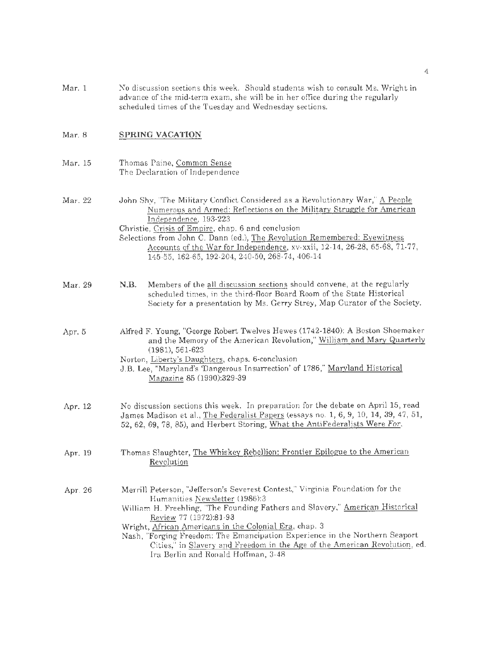Mar. 1 No discussion sections this week. Should students wish to consult Ms. Wright in advance of the mid-term exam, she will be in her office during the regularly scheduled times of the Tuesday and Wednesday sections.

#### Mar. 8 **SPRING VACATION**

Mar. 15 Thomas Paine, Common Sense The Declaration of Independence

Mar. 22 John Shy, "The Military Conflict Considered as a Revolutionary War," A People Numerous and Armed: Reflections on the Military Struggle for American Independence, 193-223 Christie, Crisis of Empire, chap. 6 and conclusion Selections from John C. Dann (ed.), The Revolution Remembered: Eyewitness Accounts of the War for Independence, xv-xxii, 12-14, 26-28, 65-68, 71-77, 145-55, 162-65, 192-204, 240-50, 268-74, 406-14

- Mar. 29 **N.B.** Members of the all discussion sections should convene, at the regularly scheduled times, in the third-floor Board Room of the State Historical Society for a presentation by Ms. Gerry Strey, Map Curator of the Society.
- Apr. 5 Alfred F. Young, "George Robert Twelves Hewes (1742-1840): A Boston Shoemaker and the Memory of the American Revolution," William and Mary Quarterly (1981), 561-623
	- Norton, Liberty's Daughters, chaps. 6-conclusion
	- J.B. Lee, "Maryland's 'Dangerous Insurrection' of 1786," Maryland Historical Magazine 85 (1990):329-39
- Apr. 12 No discussion sections this week. In preparation for the debate on April 15, read James Madison et al., The Federalist Papers (essays no. 1, 6, 9, 10, 14, 39, 47, 51, 52, 62, 69, 78, 85), and Herbert Storing, What the AntiFederalists Were *For.*
- Apr. 19 Thomas Slaughter, The Whiskey Rebellion: Frontier Epilogue to the American Revolution
- Apr. 26 Merrill Peterson, "Jefferson's Severest Contest," Virginia Foundation for the Humanities Newsletter (1986):3 William H. Freehling, "The Founding Fathers and Slavery," American Historical Review 77 (1972):81-93 Wright, Mrican Americans in the Colonial Era, chap. 3
	- Nash, "Forging Freedom: The Emancipation Experience in the Northern Seaport Cities," in Slavery and Freedom in the Age of the American Revolution, ed. Ira Berlin and Ronald Hoffman, 3-48